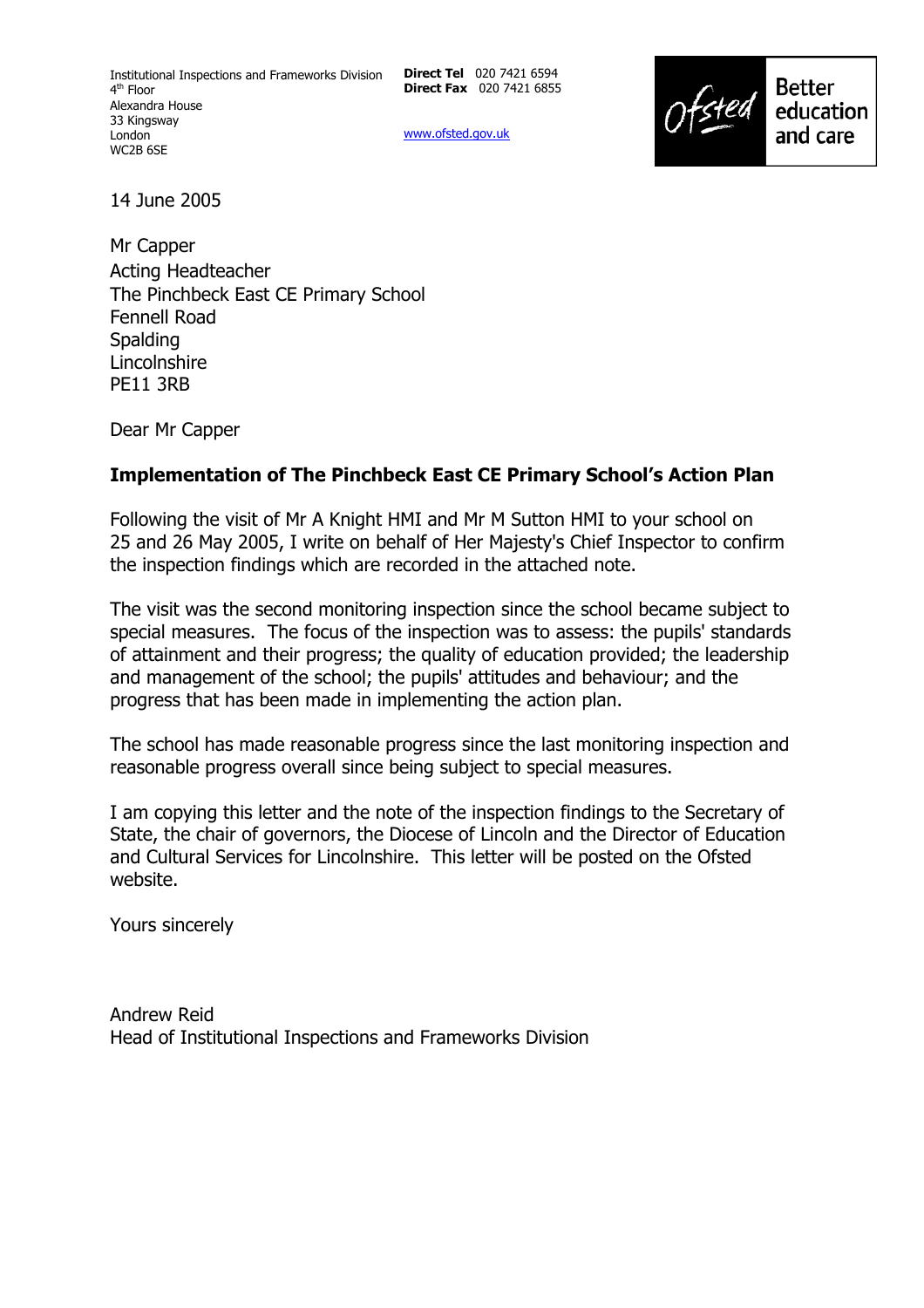**Direct Tel** 020 7421 6594 **Direct Fax** 020 7421 6855

www.ofsted.gov.uk



14 June 2005

Mr Capper Acting Headteacher The Pinchbeck East CE Primary School Fennell Road **Spalding** Lincolnshire PE11 3RB

Dear Mr Capper

### **Implementation of The Pinchbeck East CE Primary Schoolís Action Plan**

Following the visit of Mr A Knight HMI and Mr M Sutton HMI to your school on 25 and 26 May 2005, I write on behalf of Her Majesty's Chief Inspector to confirm the inspection findings which are recorded in the attached note.

The visit was the second monitoring inspection since the school became subject to special measures. The focus of the inspection was to assess: the pupils' standards of attainment and their progress; the quality of education provided; the leadership and management of the school; the pupils' attitudes and behaviour; and the progress that has been made in implementing the action plan.

The school has made reasonable progress since the last monitoring inspection and reasonable progress overall since being subject to special measures.

I am copying this letter and the note of the inspection findings to the Secretary of State, the chair of governors, the Diocese of Lincoln and the Director of Education and Cultural Services for Lincolnshire. This letter will be posted on the Ofsted website.

Yours sincerely

Andrew Reid Head of Institutional Inspections and Frameworks Division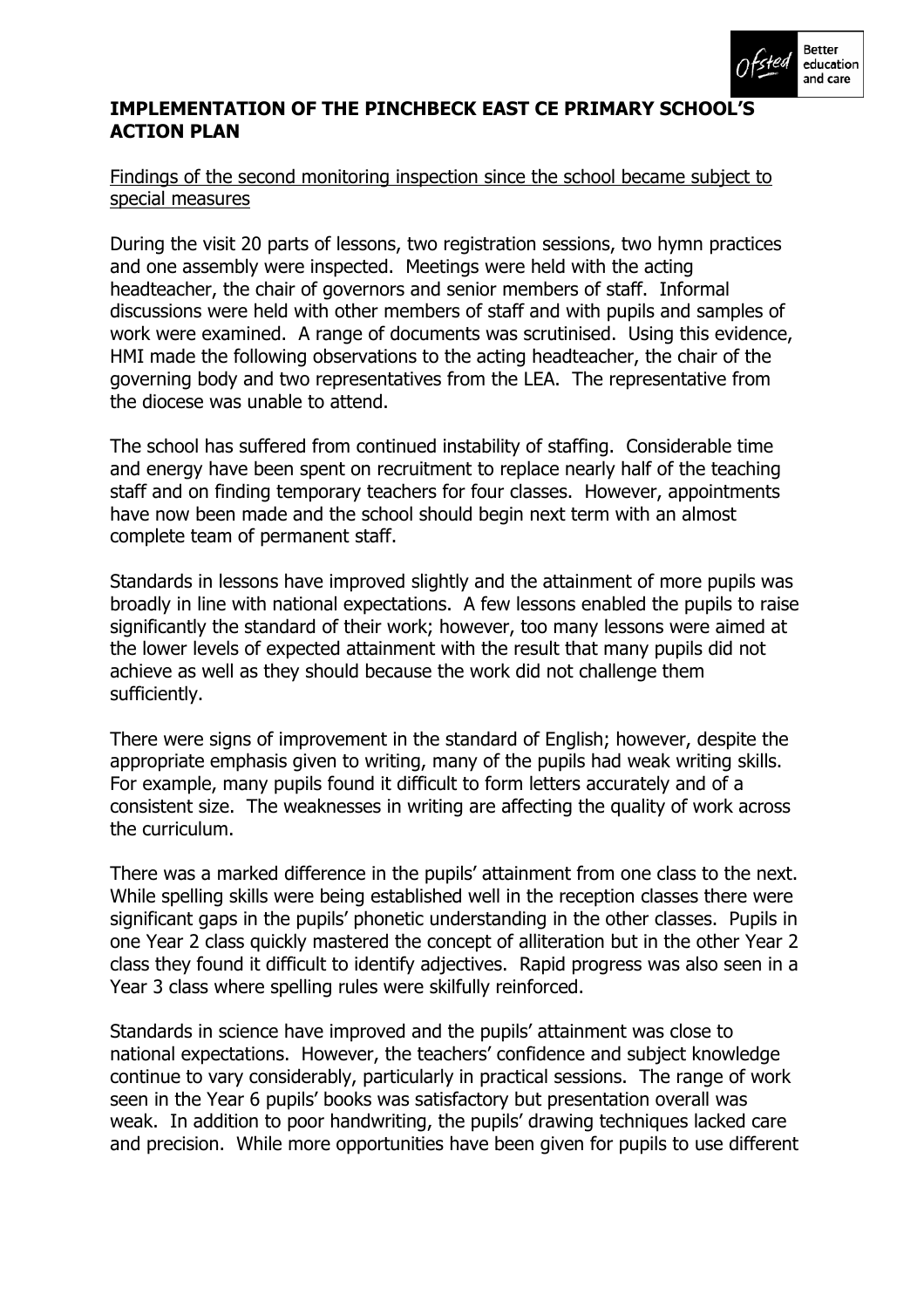

### **IMPLEMENTATION OF THE PINCHBECK EAST CE PRIMARY SCHOOLíS ACTION PLAN**

#### Findings of the second monitoring inspection since the school became subject to special measures

During the visit 20 parts of lessons, two registration sessions, two hymn practices and one assembly were inspected. Meetings were held with the acting headteacher, the chair of governors and senior members of staff. Informal discussions were held with other members of staff and with pupils and samples of work were examined. A range of documents was scrutinised. Using this evidence, HMI made the following observations to the acting headteacher, the chair of the governing body and two representatives from the LEA. The representative from the diocese was unable to attend.

The school has suffered from continued instability of staffing. Considerable time and energy have been spent on recruitment to replace nearly half of the teaching staff and on finding temporary teachers for four classes. However, appointments have now been made and the school should begin next term with an almost complete team of permanent staff.

Standards in lessons have improved slightly and the attainment of more pupils was broadly in line with national expectations. A few lessons enabled the pupils to raise significantly the standard of their work; however, too many lessons were aimed at the lower levels of expected attainment with the result that many pupils did not achieve as well as they should because the work did not challenge them sufficiently.

There were signs of improvement in the standard of English; however, despite the appropriate emphasis given to writing, many of the pupils had weak writing skills. For example, many pupils found it difficult to form letters accurately and of a consistent size. The weaknesses in writing are affecting the quality of work across the curriculum.

There was a marked difference in the pupils' attainment from one class to the next. While spelling skills were being established well in the reception classes there were significant gaps in the pupils' phonetic understanding in the other classes. Pupils in one Year 2 class quickly mastered the concept of alliteration but in the other Year 2 class they found it difficult to identify adjectives. Rapid progress was also seen in a Year 3 class where spelling rules were skilfully reinforced.

Standards in science have improved and the pupils' attainment was close to national expectations. However, the teachers' confidence and subject knowledge continue to vary considerably, particularly in practical sessions. The range of work seen in the Year 6 pupils' books was satisfactory but presentation overall was weak. In addition to poor handwriting, the pupils' drawing techniques lacked care and precision. While more opportunities have been given for pupils to use different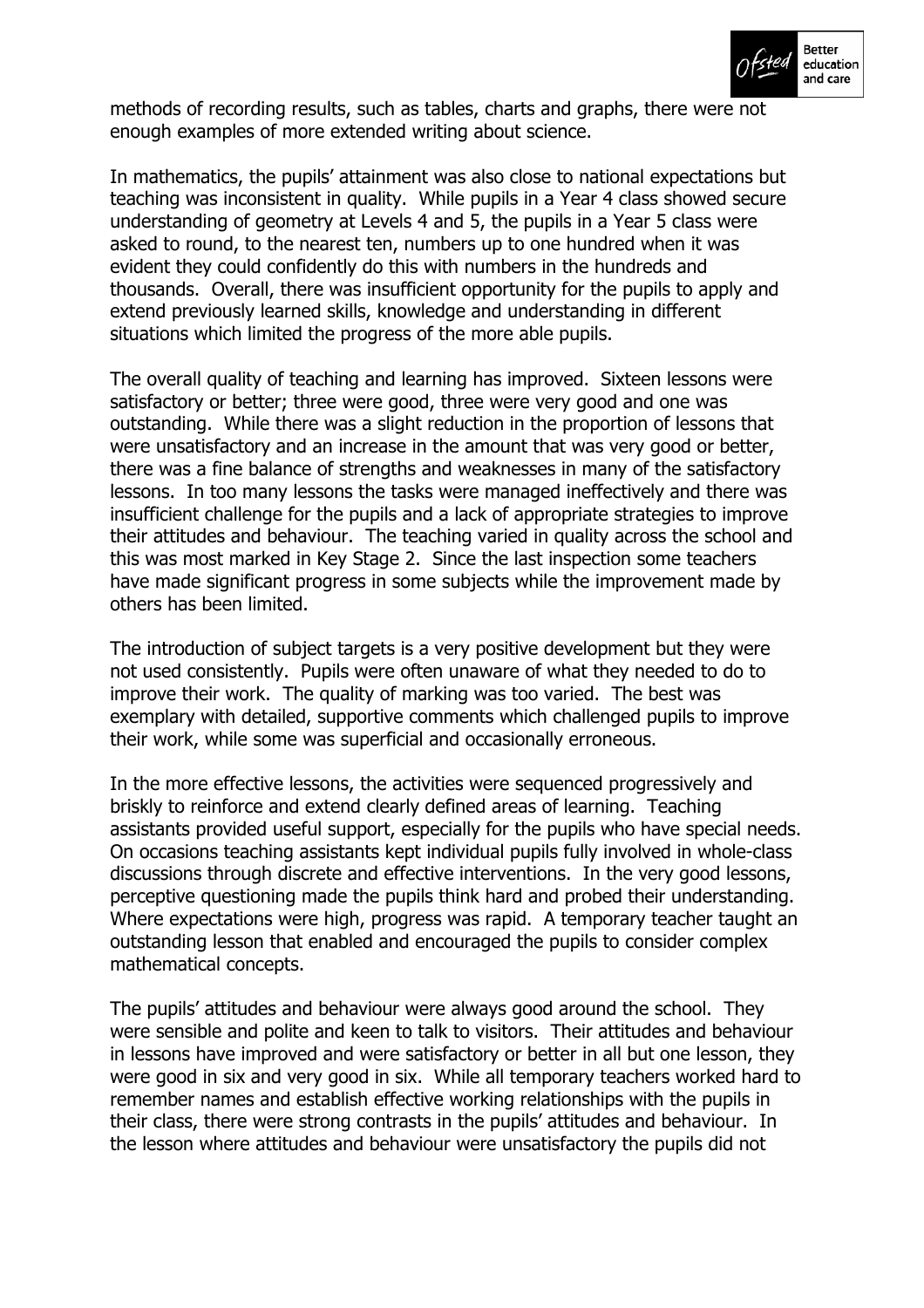

methods of recording results, such as tables, charts and graphs, there were not enough examples of more extended writing about science.

In mathematics, the pupils' attainment was also close to national expectations but teaching was inconsistent in quality. While pupils in a Year 4 class showed secure understanding of geometry at Levels 4 and 5, the pupils in a Year 5 class were asked to round, to the nearest ten, numbers up to one hundred when it was evident they could confidently do this with numbers in the hundreds and thousands. Overall, there was insufficient opportunity for the pupils to apply and extend previously learned skills, knowledge and understanding in different situations which limited the progress of the more able pupils.

The overall quality of teaching and learning has improved. Sixteen lessons were satisfactory or better; three were good, three were very good and one was outstanding. While there was a slight reduction in the proportion of lessons that were unsatisfactory and an increase in the amount that was very good or better, there was a fine balance of strengths and weaknesses in many of the satisfactory lessons. In too many lessons the tasks were managed ineffectively and there was insufficient challenge for the pupils and a lack of appropriate strategies to improve their attitudes and behaviour. The teaching varied in quality across the school and this was most marked in Key Stage 2. Since the last inspection some teachers have made significant progress in some subjects while the improvement made by others has been limited.

The introduction of subject targets is a very positive development but they were not used consistently. Pupils were often unaware of what they needed to do to improve their work. The quality of marking was too varied. The best was exemplary with detailed, supportive comments which challenged pupils to improve their work, while some was superficial and occasionally erroneous.

In the more effective lessons, the activities were sequenced progressively and briskly to reinforce and extend clearly defined areas of learning. Teaching assistants provided useful support, especially for the pupils who have special needs. On occasions teaching assistants kept individual pupils fully involved in whole-class discussions through discrete and effective interventions. In the very good lessons, perceptive questioning made the pupils think hard and probed their understanding. Where expectations were high, progress was rapid. A temporary teacher taught an outstanding lesson that enabled and encouraged the pupils to consider complex mathematical concepts.

The pupils' attitudes and behaviour were always good around the school. They were sensible and polite and keen to talk to visitors. Their attitudes and behaviour in lessons have improved and were satisfactory or better in all but one lesson, they were good in six and very good in six. While all temporary teachers worked hard to remember names and establish effective working relationships with the pupils in their class, there were strong contrasts in the pupils' attitudes and behaviour. In the lesson where attitudes and behaviour were unsatisfactory the pupils did not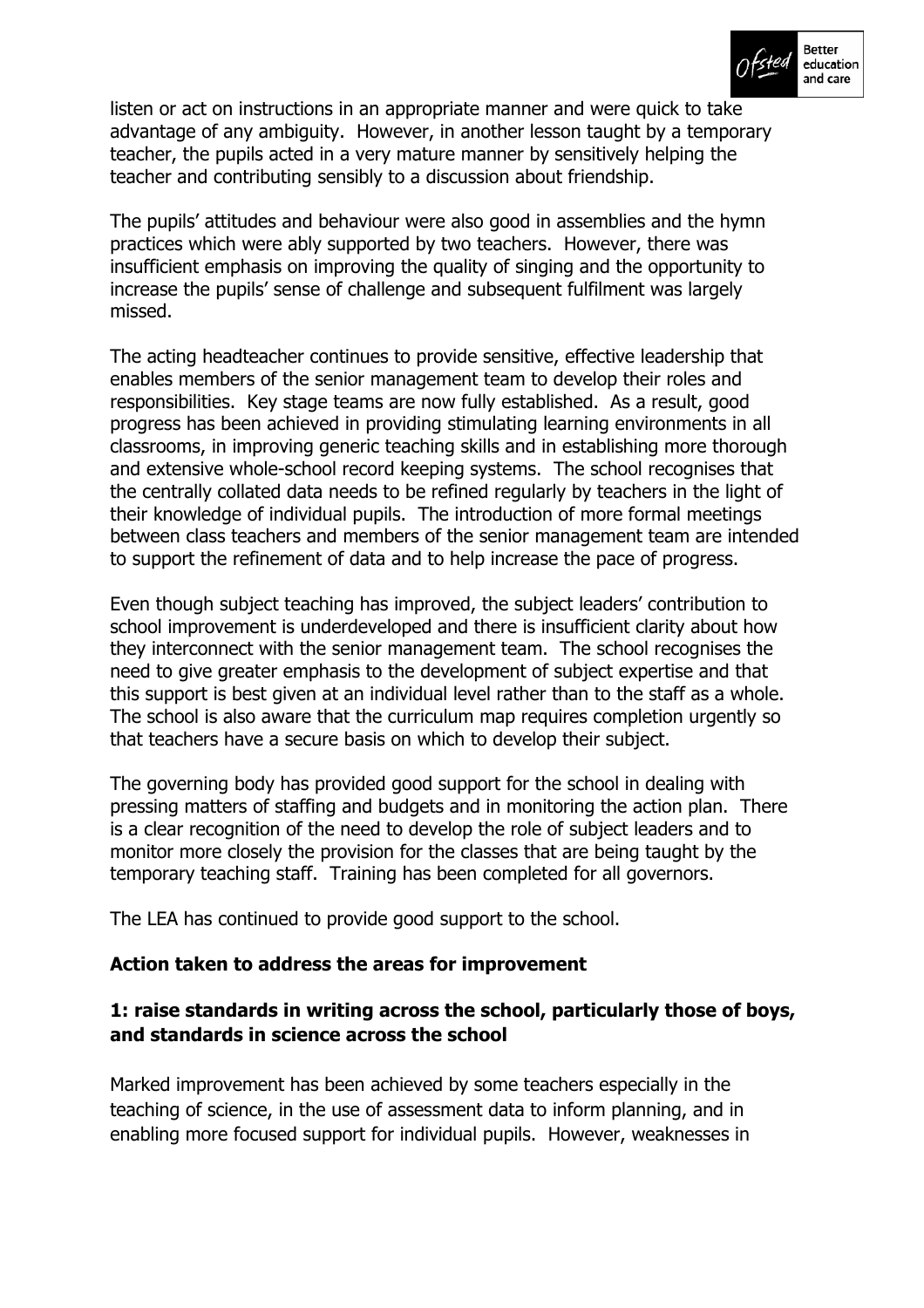

listen or act on instructions in an appropriate manner and were quick to take advantage of any ambiguity. However, in another lesson taught by a temporary teacher, the pupils acted in a very mature manner by sensitively helping the teacher and contributing sensibly to a discussion about friendship.

The pupils' attitudes and behaviour were also good in assemblies and the hymn practices which were ably supported by two teachers. However, there was insufficient emphasis on improving the quality of singing and the opportunity to increase the pupils' sense of challenge and subsequent fulfilment was largely missed.

The acting headteacher continues to provide sensitive, effective leadership that enables members of the senior management team to develop their roles and responsibilities. Key stage teams are now fully established. As a result, good progress has been achieved in providing stimulating learning environments in all classrooms, in improving generic teaching skills and in establishing more thorough and extensive whole-school record keeping systems. The school recognises that the centrally collated data needs to be refined regularly by teachers in the light of their knowledge of individual pupils. The introduction of more formal meetings between class teachers and members of the senior management team are intended to support the refinement of data and to help increase the pace of progress.

Even though subject teaching has improved, the subject leaders' contribution to school improvement is underdeveloped and there is insufficient clarity about how they interconnect with the senior management team. The school recognises the need to give greater emphasis to the development of subject expertise and that this support is best given at an individual level rather than to the staff as a whole. The school is also aware that the curriculum map requires completion urgently so that teachers have a secure basis on which to develop their subject.

The governing body has provided good support for the school in dealing with pressing matters of staffing and budgets and in monitoring the action plan. There is a clear recognition of the need to develop the role of subject leaders and to monitor more closely the provision for the classes that are being taught by the temporary teaching staff. Training has been completed for all governors.

The LEA has continued to provide good support to the school.

### **Action taken to address the areas for improvement**

### **1: raise standards in writing across the school, particularly those of boys, and standards in science across the school**

Marked improvement has been achieved by some teachers especially in the teaching of science, in the use of assessment data to inform planning, and in enabling more focused support for individual pupils. However, weaknesses in